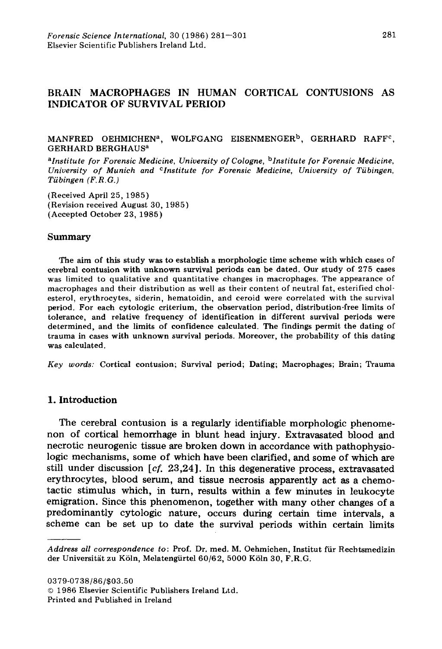# BRAIN MACROPHAGES IN HUMAN CORTICAL CONTUSIONS AS INDICATOR OF SURVIV AL PERlOn

### MANFRED OEHMICHEN<sup>a</sup>, WOLFGANG EISENMENGER<sup>b</sup>, GERHARD RAFF<sup>c</sup>, GERHARD BERGHAUsa

*aInstitute for Forensie Medicine, University of Cologne,* b *Institute for Forensie Medicine, University of Munich and cInstitute for Forensie Medicine, University of Tübingen, Tübingen (F.R.G.)* 

(Received April 25,1985) (Revision received August 30, 1985) (Accepted October 23, 1985)

#### Summary

The aim of this study was to establish a morphologic time scheme with which cases of cerebral contusion with unknown survival periods can be dated. Our study of 275 cases was limited to qualitative and quantitative changes in macrophages. The appearance of macrophages and their distribution as weIl as their content of neutral fat, esterified chol· esterol, erythrocytes, siderin, hematoidin, and ceroid were correlated with the survival period. For each cytologic criterium, the observation period, distribution-free limits of tolerance, and relative frequency of identification in different survival periods were determined, and the limits of confidence calculated. The findings permit the dating of trauma in cases with unknown survival periods. Moreover, the probability of this dating was calculated.

*Key words:* Cortical contusion; Survival period; Dating; Macrophages; Brain; Trauma

# 1. Introduction

The eerebral eontusion is a regularly identifiable morphologie phenomenon of eortieal hemorrhage in blunt head injury. Extravasated blood and neerotie neurogenie tissue are broken down in aeeordanee with pathophysiologie meehanisms, some of whieh have been clarified, and some of whieh are still under discussion  $[c, 23, 24]$ . In this degenerative process, extravasated erythroeytes, blood serum, and tissue necrosis apparently aet as a ehemotaetic stimulus whieh, in turn, results within a few minutes in leukocyte emigration. Sinee this phenomenon, together with many other ehanges of a predominantly eytologie nature, oeeurs during eertain time intervals, a seheme ean be set up to date the survival periods within eertain limits

*Address all correspondence to:* Prof. Dr. med. M. Oehmichen, Institut für Rechtsmedizin der Universität zu Köln, Melatengürtel 60/62, 5000 Köln 30, F.R.G.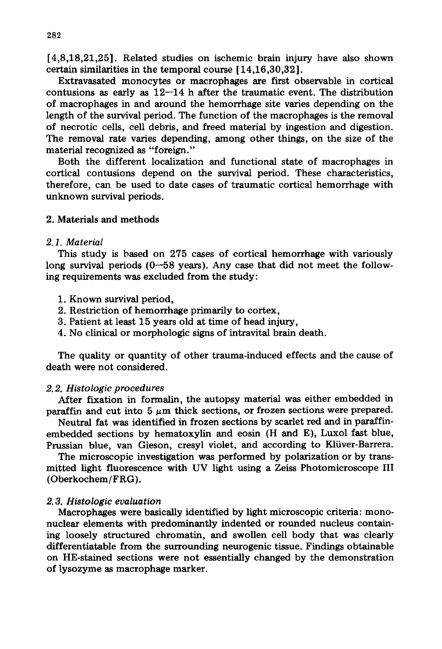[4,8,18,21,25]. Related studies on ischemic brain injury have also shown certain similarities in the temporal course [14,16,30,32].

Extravasated monocytes or macrophages are first observable in cortical contusions as early as  $12-14$  h after the traumatic event. The distribution of macrophages in and around the hemorrhage site varies depending on the length of the survival period. The function of the macrophages is the removal of necrotic cells, cell debris, and freed material by ingestion and digestion. The removal rate varies depending, among other things, on the size of the material recognized as "foreign."

Both the different localization and functional state of macrophages in cortical contusions depend on the survival period. These characteristics, therefore, can be used to date cases of traumatic cortical hemorrhage with unknown survival periods.

# 2. Materials and methods

## *2.1. Material*

This study is based on 275 cases of cortical hemorrhage with variously long survival periods  $(0-58 \text{ years})$ . Any case that did not meet the following requirements was excluded from the study:

- 1. Known survival period,
- 2. Restriction of hemorrhage primarily to cortex,
- 3. Patient at least 15 years old at time of head injury,
- 4. No clinical or morphologic signs of intravital brain death.

The quality or quantity of other trauma-induced effects and the cause of death were not considered.

### *2.2. Histologie proeedures*

After fixation in formalin, the autopsy material was either embedded in paraffin and cut into  $5 \mu m$  thick sections, or frozen sections were prepared.

Neutral fat was identified in frozen sections by scarlet red and in paraffinembedded sections by hematoxylin and eosin (H and E), Luxol fast blue, Prussian blue, van Gieson, cresyl violet, and according to Klüver-Barrera.

The microscopic investigation was performed by polarization or by transmitted light fluorescence with UV light using a Zeiss Photomicroscope III (Oberkochem/FRG ).

### *2.3. Histologie evaluation*

Macrophages were basically identified by light microscopic criteria: mononuclear elements with predominantly indented or rounded nucleus containing loosely structured chromatin, and swollen cell body that was clearly differentiatable from the surrounding neurogenic tissue. Findings obtainable on HE-stained sections were not essentially changed by the demonstration of lysozyme as macrophage marker.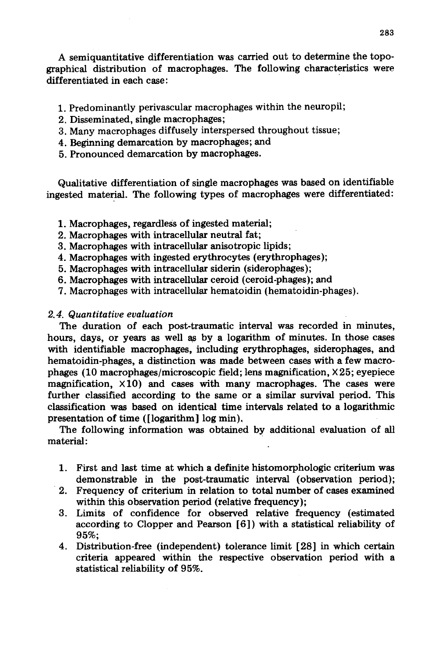A semiquantitative düferentiation was carried out to determine the topographical distribution of macrophages. The following characteristics were differentiated in each case: .

- 1. Predominantly perivascular macrophages within the neuropil;
- 2. Disseminated, single macrophages;
- 3. Many macrophages diffusely interspersed throughout tissue;
- 4. Beginning demarcation by macrophages; and
- 5. Pronounced demarcation by macrophages.

Qualitative düferentiation of single macrophages was based on identifiable ingested material. The following types of macrophages were differentiated:

- 1. Macrophages, regardless of ingested material;
- 2. Macrophages with intracellular neutral fat;
- 3. Macrophages with intracellular anisotropic lipids;
- 4. Macrophages with ingested erythrocytes (erythrophages);
- 5. Macrophages with intracellular siderin (siderophages);
- 6. Macrophages with intracellular ceroid (ceroid-phages); and
- 7. Macrophages with intracellular hematoidin (hematoidin-phages).

# *2.4. Quantitative evaluation*

The duration of each post-traumatic interval was recorded in minutes, hours, days, or years as weIl a.s by a logarithm of minutes. In *those* cases with identifiable macrophages, including erythrophages, siderophages, and hematoidin-phages, a distinction was made between cases with a few macrophages (10 macrophages/microscopic field; lens magnification,  $\times$  25; eyepiece magnification,  $\times$ 10) and cases with many macrophages. The cases were further classified according to the same or a similar survival period. This classification was based on identical time intervals related to a logarithmic presentation of time ([logarithm] log min).

The following information was obtained by additional evaluation of all material: .

- 1. First and last time at which a definite histomorphologic criterium was demonstrable in the post-traumatic interval (observation period);
- . 2. Frequency of criterium in relation to total number of cases examined within this observation period (relative frequency);
- 3. Limits of confidence for observed relative frequency (estimated according to Clopper and Pearson [6]) with a statistical reliability of 95%;
- 4. Distribution-free (independent) tolerance limit [28] in which certain criteria appeared within the respective observation period with a statistical reliability of 95%.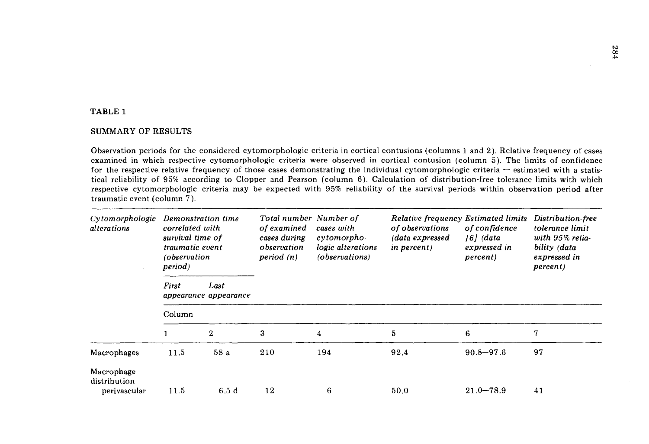## TABLE 1

## SUMMARY OF RESULTS

Observation periods for the considered cytomorphologic criteria in cortical contusions (columns 1 and 2). Relative frequency of cases examined in which respective cytomorphologic criteria were observed in cortical contusion (column 5). The limits of confidence for the respective relative frequency of those cases demonstrating the individual cytomorphologic criteria - estimated with a statistical reliability of 95% according to Clopper and Pearson (column 6). Calculation of distribution-free tolerance limits with which respective cytomorphologic criteria may be expected with 95% reliability of the survival periods within observation period after traumatic event (column 7).

| Cytomorphologic<br>alterations             | Demonstration time<br>correlated with<br>survival time of<br>traumatic event<br>observation)<br>period) |                               | Total number Number of<br>of examined<br>cases during<br>observation<br>period $(n)$ | cases with<br>cytomorpho-<br>logic alterations<br>(observations) | <b>Relative frequency Estimated limits</b><br>of observations<br>(data expressed<br><i>in percent</i> ) | of confidence<br>$[6]$ (data<br>expressed in<br><i>percent</i> ) | Distribution-free<br>tolerance limit<br>with 95% relia-<br>bility (data<br>expressed in<br><i>percent</i> ) |  |  |  |  |
|--------------------------------------------|---------------------------------------------------------------------------------------------------------|-------------------------------|--------------------------------------------------------------------------------------|------------------------------------------------------------------|---------------------------------------------------------------------------------------------------------|------------------------------------------------------------------|-------------------------------------------------------------------------------------------------------------|--|--|--|--|
|                                            | First                                                                                                   | Last<br>appearance appearance |                                                                                      |                                                                  |                                                                                                         |                                                                  |                                                                                                             |  |  |  |  |
|                                            | Column                                                                                                  |                               |                                                                                      |                                                                  |                                                                                                         |                                                                  |                                                                                                             |  |  |  |  |
|                                            |                                                                                                         | $\overline{2}$                | 3                                                                                    | 4                                                                | 5                                                                                                       | 6                                                                | 7                                                                                                           |  |  |  |  |
| Macrophages                                | 11.5                                                                                                    | 58a                           | 210                                                                                  | 194                                                              | 92.4                                                                                                    | $90.8 - 97.6$                                                    | 97                                                                                                          |  |  |  |  |
| Macrophage<br>distribution<br>perivascular | 11.5                                                                                                    | 6.5d                          | 12                                                                                   | 6                                                                | 50.0                                                                                                    | $21.0 - 78.9$                                                    | 41                                                                                                          |  |  |  |  |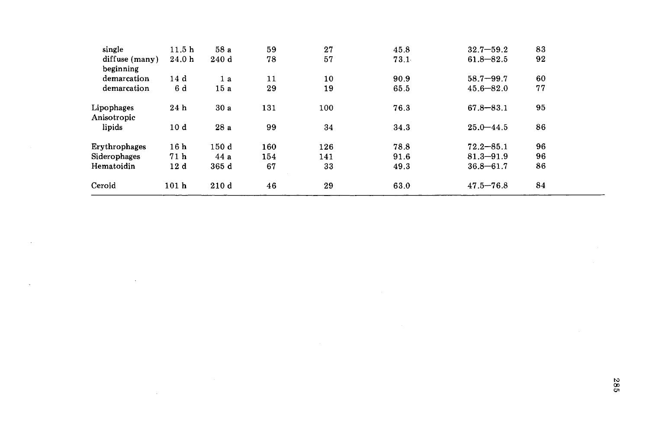| single         | 11.5 <sub>h</sub> | 58 a  | 59  | 27  | 45.8 | $32.7 - 59.2$ | 83 |  |
|----------------|-------------------|-------|-----|-----|------|---------------|----|--|
| diffuse (many) | 24.0 h            | 240d  | 78  | 57  | 73.1 | $61.8 - 82.5$ | 92 |  |
| beginning      |                   |       |     |     |      |               |    |  |
| demarcation    | 14d               | 1a    | 11  | 10  | 90.9 | $58.7 - 99.7$ | 60 |  |
| demarcation    | 6 d               | 15a   | 29  | 19  | 65.5 | $45.6 - 82.0$ | 77 |  |
| Lipophages     | 24h               | 30a   | 131 | 100 | 76.3 | $67.8 - 83.1$ | 95 |  |
| Anisotropic    |                   |       |     |     |      |               |    |  |
| lipids         | 10d               | 28a   | 99  | 34  | 34.3 | $25.0 - 44.5$ | 86 |  |
| Erythrophages  | 16 <sub>h</sub>   | 150 d | 160 | 126 | 78.8 | $72.2 - 85.1$ | 96 |  |
| Siderophages   | 71 h              | 44a   | 154 | 141 | 91.6 | $81.3 - 91.9$ | 96 |  |
| Hematoidin     | 12d               | 365 d | 67  | 33  | 49.3 | $36.8 - 61.7$ | 86 |  |
| Ceroid         | 101 <sub>h</sub>  | 210d  | 46  | 29  | 63.0 | $47.5 - 76.8$ | 84 |  |

 $\sim$ 

 $\hat{\mathbf{v}}$ 

 $\epsilon$ 

 $\sim 100$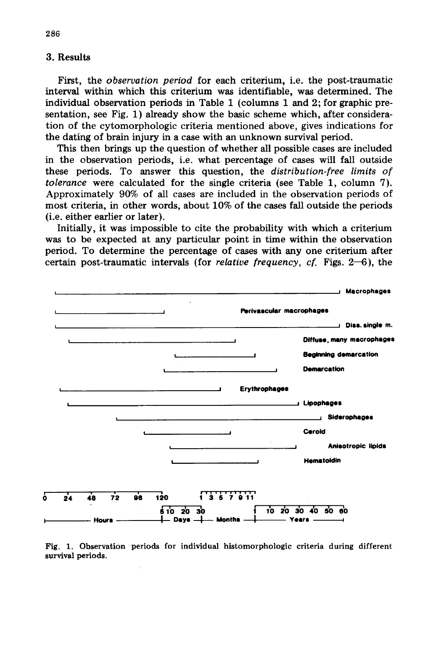# 3. Results

First, the *observation period* for each criterium, *i.e.* the post-traumatic interval within which this criterium was identifiable, was determined. The individual observation periods in Table 1 (columns 1 and 2; for graphic presentation, see Fig. 1) already show the basic scheme which, after consideration of the cytomorphologic criteria mentioned above, gives indications for the dating of brain injury in a case with an unknown survival period.

This then brings up the question of whether all possible cases are included in the observation periods, i.e. what percentage of cases will fall outside these periods. To answer this question, the distribution-free limits of tolerance were calculated for the single criteria (see Table 1, column 7). Approximately 90% of all cases are included in the observation periods of most criteria, in other words, about 10% of the cases fall outside the periods (i.e. either earlier or later).

Initially, it was impossible to cite the probability with which a criterium was to be expected at any particular point in time within the observation period. To determine the percentage of cases with any one criterium after certain post-traumatic intervals (for *relative frequency*, *cf.* Figs.  $2-6$ ), the



Fig. 1. Observation periods for individual histomorphologic criteria during different survival periods.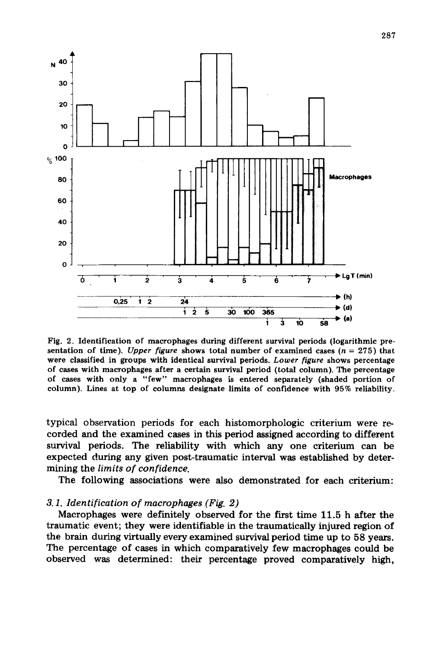

Fig. 2. Identification of macrophages during different survival periods (logarithmic presentation of time). *Upper figure* shows total number of examined cases (n = 275) that wete classified in groups with identical survival periods. *Lower figure* shows percentage of cases with macrophages after a certain survival period (total column). The percentage of cases with only a "few" macrophages is entered separately (shaded portion of column). Lines at top of columns designate limits of confidence with 95% reliability.

typical observation periods for each histomorphologic criterium were recorded and the examined cases in this period assigned according to different survival periods. The reliability with which any one criterium can be expected during any given post-traumatic interval was established by determining the *limits of confidence.* 

The following associations were also demonstrated for each criterium:

### *3.1. Identification of macrophages (Fig. 2)*

Macrophages were definitely observed for the first time 11.5 h after the traumatic event; they were identifiable in the traumatically injured region of the brain during virtually every examined survival period time up to 58 years. The percentage of cases in which comparatively few macrophages could be observed was determined: their percentage proved comparatively high,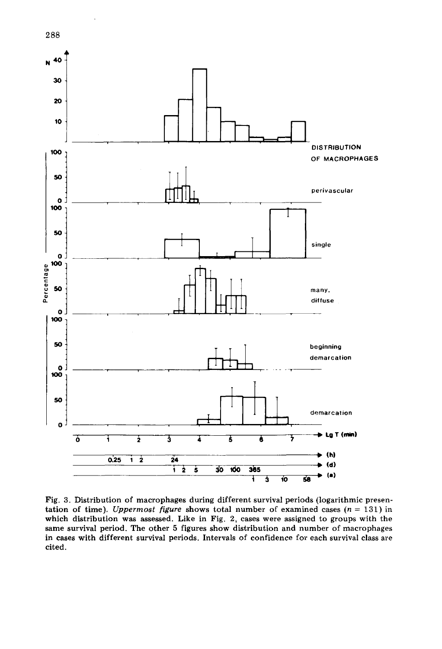

Fig. 3. Distribution of macrophages during different survival periods (logarithmic presentation of time). *Uppermost figure* shows total number of examined cases  $(n = 131)$  in which distribution was assessed. Like in Fig. 2, cases were assigned to groups with the same survival period. The other 5 figures show distribution and number of macrophages in cases with different survival periods. Intervals of confidence for each survival dass are cited.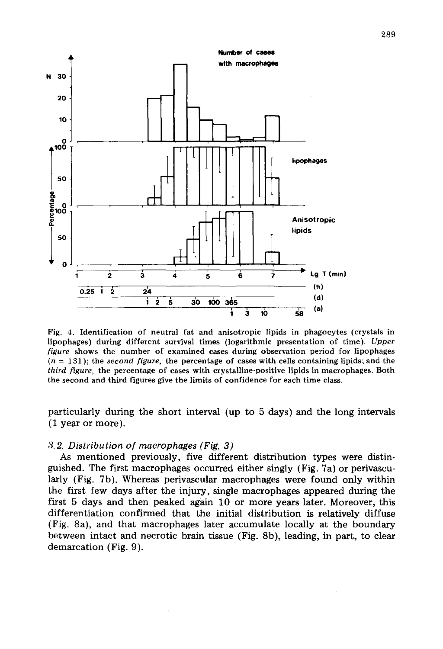

Fig. 4. Identifieation of neutral fat and anisotropie lipids in phagoeytes (erystals in lipophages) during different survival times (logarithmie presentation of time). *Upper figure* shows the number of examined eases during observation period for lipophages  $(n = 131)$ ; the *second figure*, the percentage of cases with cells containing lipids; and the *third figure,* the percentage of cases with crystalline-positive lipids in macrophages. Both the second and third figures give the limits of confidence for each time class.

particularly during the short interval (up to 5 days) and the long intervals (1 year or more).

#### 3.2. Distribution of macrophages (Fig. 3)

As mentioned previously, five different distribution types were distinguished. The first macrophages occurred either singly (Fig. 7a) or perivascularly (Fig. 7b). Whereas perivascular macrophages were found only within the first few days after the injury, single macrophages appeared during the first 5 days and then peaked again 10 or more years later. Moreover, this differentiation confirmed that the initial distribution is relatively diffuse (Fig. 8a), and that macrophages later accumulate locally at the boundary between intact and necrotic brain tissue (Fig. 8b), leading, in part, to clear demarcation (Fig. 9).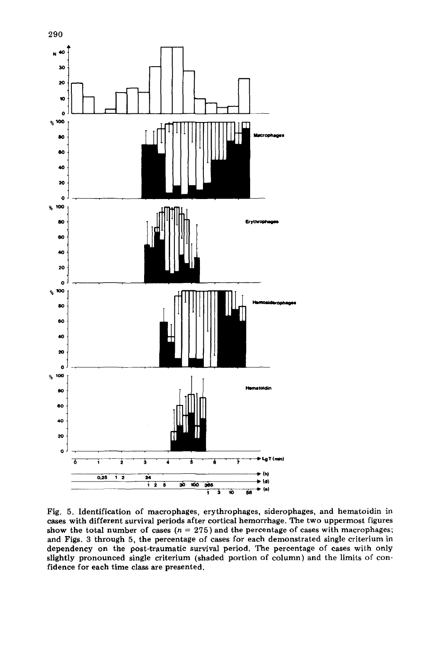

Fig. 5. Identification of macrophages, erythrophages, siderophages, and hematoidin in cases with different survival periods after cortical hemorrhage. The two uppermost figures show the total number of cases  $(n = 275)$  and the percentage of cases with macrophages; and Figs. 3through 5, the percentage of cases for each demonstrated single criterium in dependency on the post-traumatic survival period. The percentage of cases with only slightly pronounced single criterium (shaded portion of column) and the limits of con· fidence for each time dass are presented.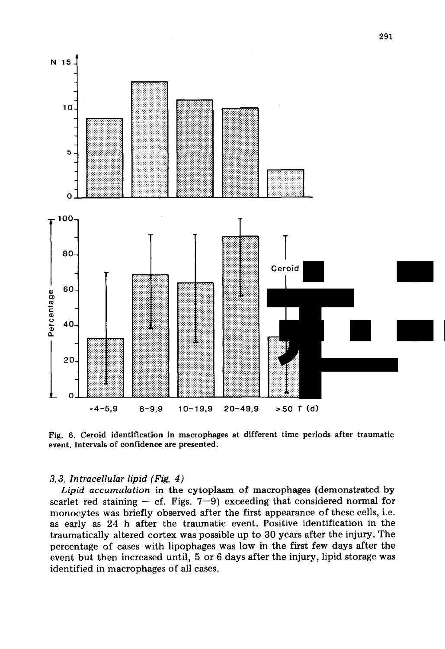

Fig. 6. Ceroid identification in macrophages at different time periods after traumatic event. Intervals of confidence are presented.

### 3.3. Intracellular lipid (Fig. 4)

Lipid accumulation in the cytoplasm of macrophages (demonstrated by scarlet red staining – cf. Figs.  $7-9$ ) exceeding that considered normal for monocytes was briefly observed after the first appearance of these cells, i.e. as early as 24 h after the traumatic event. Positive identification in the traumatically altered cortex was possible up to 30 years after the injury. The percentage of cases with lipophages was low in the first few days after the event but then increased until, 5 or 6 days after the injury, lipid storage was identified in macrophages of all cases.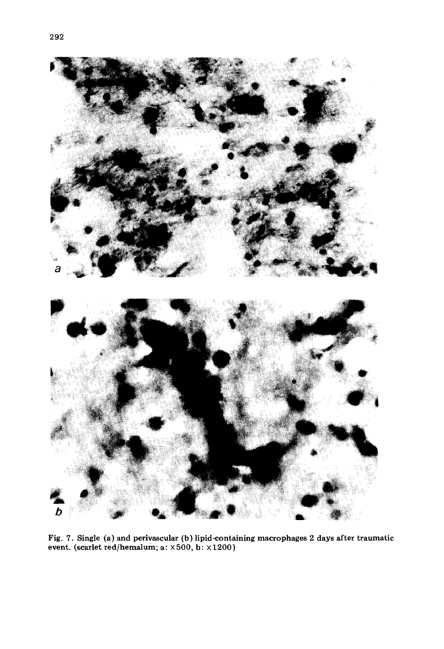

Fig. 7. Single (a) and perivascular (b) lipid-containing macrophages 2 days after traumatic event. (scarlet red/hemalum; a: X500, b: X 1200)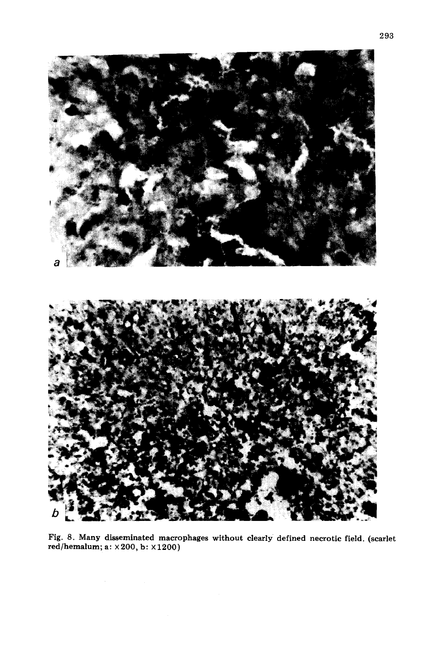

Fig. 8. Many disseminated maerophages without elearly defined neerotie field. (searlet red/hemalum; a: x200, b: X1200)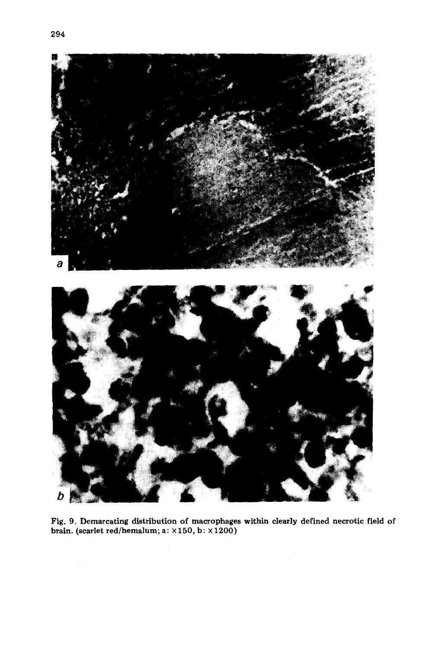



Fig. 9. Demarcating distribution of macrophages within clearly defined necrotic field of brain. (scarlet red/hemalum; a:  $\times 150$ , b:  $\times 1200$ )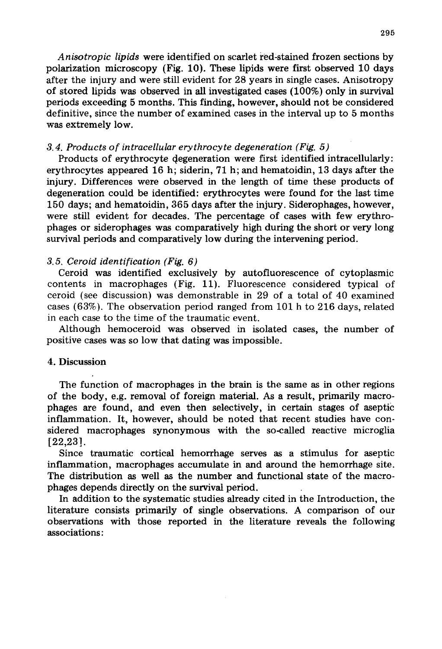*Anisotropie lipids* were identified on scarlet red-stained frozen sections by polarization microscopy (Fig. 10). These lipids were first observed 10 days after the injury and were still evident for 28 years in single cases. Anisotropy of stored lipids was observed in all investigated cases (100%) only in survival periods exceeding 5 months. This finding, however, should not be considered definitive, since the number of examined cases in the interval up to 5 months was extremely low.

### *3.4. Produets of intraeellular erythrocyte degeneration (Fig. 5)*

Products of erythrocyte degeneration were first identified intracellularly: erythrocytes appeared 16 h; siderin, 71 h; and hematoidin, 13 days after the injury. Differences were observed in the length of time these products of degeneration could be identified: erythrocytes were found for the last time 150 days; and hematoidin, 365 days after the injury. Siderophages, however, were still evident for decades. The percentage of cases with few erythrophages or siderophages was comparatively high during the short or very long survival periods and comparatively low during the intervening period.

#### *3.5. Ceroid identifieation (Fig.* 6)

Ceroid was identified exclusively by autofluorescence of cytoplasmic contents in macrophages (Fig. 11). Fluorescence considered typical of ceroid (see discussion) was demonstrable in 29 of a total of 40 examined cases (63%). The observation period ranged from 101 h to 216 days, related in each case to the time of the traumatic event.

Although hemoceroid was observed in isolated cases, the number of positive cases was so low that dating was impossible.

#### 4. Discussion

The function of macrophages in the brain is the same as in other regions of the body, e.g. removal of foreign material. As a result, primarily macrophages are found, and even then selectively, in certain stages of aseptic inflammation. It, however, should be noted that recent studies have considered macrophages synonymous with the so-called reactive microglia [22,23J.

Since traumatic cortical hemorrhage serves as a stimulus for aseptic inflammation, macrophages accumulate in and around the hemorrhage site. The distribution as well as the number and functional state of the macrophages depends directly on the survival period.

In addition to the systematic studies already cited in the Introduction, the literature consists primarlly of single observations. A comparison of our observations with those reported in the literature reveals the following associations: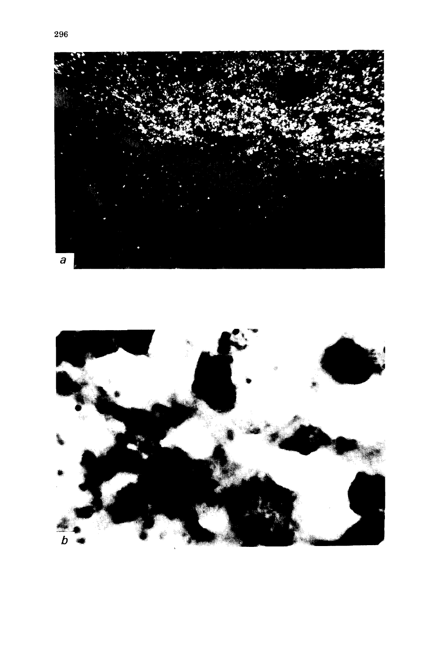

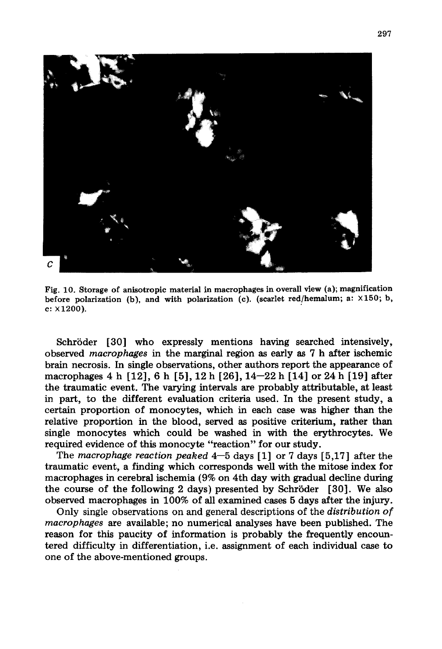

Fig. 10. Storage of anisotropie material in maerophages in overall view (a); magnifieation before polarization (b), and with polarization (e). (scarlet red/hemalum; a: X150; b,  $c: X1200$ ).

Schröder [30] who expressly mentions having searched intensively, observed *macrophages* in the marginal region as early as 7 hafter ischemic brain necrosis. In single observations, other authors report the appearance of macrophages 4 h [12], 6 h [5],12 h [26],14-22 h [14] or 24 h [19] after the traumatic event. The varying intervals are probably attributable, at least in part, to the different evaluation criteria used. In the present study, a certain proportion of monocytes, which in each case was higher than the relative proportion in the blood, served as positive criterium, rather than single monocytes which could be washed in with the erythrocytes. We required evidence of this monocyte "reaction" for our study.

The *macrophage reaction peaked* 4-5 days [1] or 7 days [5,17] after the traumatic event, a finding which corresponds weIl with the mitose index for macrophages in cerebral ischemia (9% on 4th day with gradual decline during the course of the following 2 days) presented by Schröder [30]. We also observed macrophages in 100% of all examined cases 5 days after the injury.

Only single observations on and general descriptions of the *distribution of macrophages* are available; no numerical analyses have been published. The reason for this paucity of information is probably the frequently encountered difficulty in differentiation, Le. assignment of each individual case to one of the above-mentioned groups.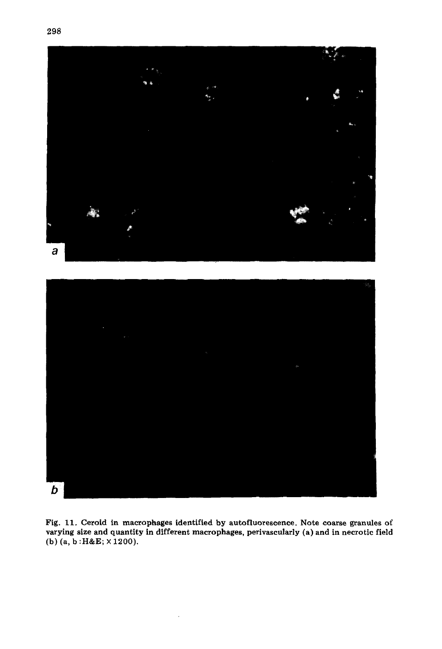



Fig. 11. Ceroid in macrophages identified by autofluorescence. Note coarse granules of varying size and quantity in different macrophages, perivascularly (a) and in necrotic field (b) (a, b :H&E; X 1200).

÷,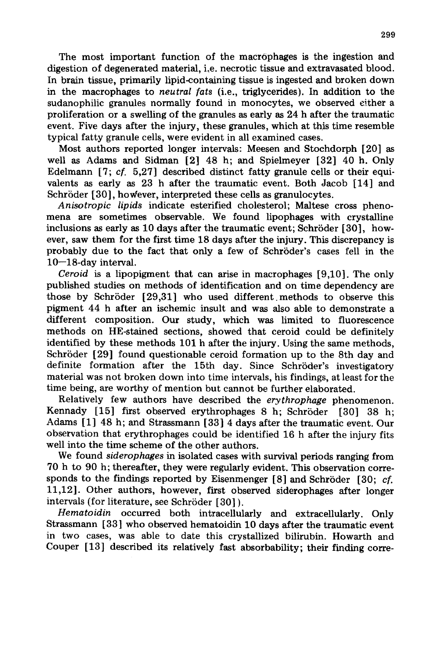The most important function of the macröphages is the ingestion and digestion of degenerated material, *i.e.* necrotic tissue and extravasated blood. In brain tissue, primarily lipid-containing tissue is ingested and broken down in the macrophages to *neutral fats* (i.e., triglycerides). In addition to the sudanophilic granules normally found in monocytes, we observed either a proliferation or a swelling of the granules as early as 24 h after the traumatic event. Five days after the injury, these granules, which at this time resemble typical fatty granule cells, were evident in all examined cases.

Most authors reported longer intervals: Meesen and Stochdorph [20] as well as Adams and Sidman [2] 48 h; and Spielmeyer [32] 40 h. Only Edelmann [7;  $cf. 5,27$ ] described distinct fatty granule cells or their equivalents as early as 23 h after the traumatic event. Both Jacob [14] and Schröder [30], however, interpreted these cells as granulocytes.

*Anisotropie lipids* indicate esterified cholesterol; Maltese cross phenomena are sometimes observable. We found lipophages with crystalline inclusions as early as 10 days after the traumatic event; Schröder [30], however, saw them for the first time 18 days after the injury. This discrepancy is probably due to the fact that only a few of Schröder's cases fell in the  $10-18$ -day interval.

*Ceroid* is a lipopigment that can arise in macrophages [9,10]. The only published studies on methods of identification and on time dependency are those by Schröder [29,31] who used different. methods to observe this pigment 44 h after an ischemic insult and was also able to demonstrate a different composition. Our study, which was limited to fluorescence methods on HE-stained sections, showed that ceroid could be definitely identified by these methods 101 h after the injury. Using the same methods, Schröder [29] found questionable ceroid formation up to the 8th day and definite formation after the 15th day. Since Schröder's investigatory material was not broken down into time intervals, his findings, at least for the time being, are worthy of mention but cannot be further elaborated.

Relatively few authors have described the *erythrophage* phenomenon. Kennady [15] first observed erythrophages 8 h; Schröder [30] 38 h; Adams [1] 48 h; and Strassmann [33] 4 days after the traumatic event. Our observation that erythrophages could be identified 16 h after the injury fits well into the time scheme of the other authors.

We found *siderophages* in isolated cases with survival periods ranging from 70 h to 90 h; thereafter, they were regularly evident. This observation corresponds to the findings reported by Eisenmenger  $[8]$  and Schröder  $[30; cf.$ 11,12]. Other authors, however, first observed siderophages after longer intervals (for literature, see Schröder [30]).

*Hematoidin* occurred both intracellularly and extracellularly. Only Strassmann [33] who observed hematoidin 10 days after the traumatic event in two cases, was able to date this crystallized bilirubin. Howarth and Couper [13] described its relatively fast absorbability; their finding corre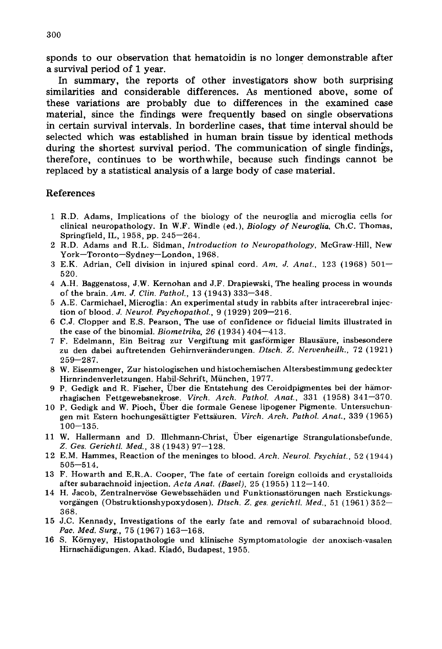sponds to our observation that hematoidin is no longer demonstrable after a survival period of 1 year. .

In summary, the reports of other investigators show both surprising similarities and considerable differences. As mentioned above, some of these variations are probably due to differences in the examined case material, since the findings were frequently based on single observations in certain survival intervals. In borderline cases, that time interval should be selected which was established in human brain tissue by identical methods during the shortest survival period. The communication of single findings, therefore, continues to be worthwhile, because such findings cannot be replaced by a statistical analysis of a large body of case material.

## References

- 1 R.D. Adams, Implications of the biology of the neuroglia and microglia cells for clinical neuropathology. In W.F. Windle (ed.), *Biology of Neuroglia,* Ch.C. Thomas, Springfield, IL, 1958, pp. 245-264.
- 2 R.D. Adams and R.L. Sidman, *Introduction to Neuropathology,* McGraw-Hill, New York-Toronto-Sydney-London, 1968.
- 3 E.K. Adrian, Cell division in injured spinal cord. *Am.* J. *Anat.,* 123 (1968) 501- 520.
- 4 A.H. Baggenstoss, J.W. Kernohan and J.F. Drapiewski, The healing process in wounds of the brain. *Am.* J. *Clin. Pathol.,* 13 (1943) 333-348.
- 5 A.E. Carmichael, Microglia: An experimental study in rabbits after intracerebral injection of blood. J. *Neurol. Psychopathol.,* 9 (1929) 209-216.
- 6 C.J. Clopper and E.S. Pearson, The use of confidence or fiducial limits illustrated in the case of the binomial. *Biometrika,* 26 (1934) 404-413.
- 7 F. Edelmann, Ein Beitrag zur Vergiftung mit gasförmiger Blausäure, insbesondere zu den dabei auftretenden Gehirnveränderungen. *Dtsch. Z. Nervenheilk.,* 72 (1921) 259-287.
- 8 W. Eisenmenger, Zur histologischen und histochemischen Altersbestimmung gedeckter Hirnrindenverletzungen. Habil-Schrift, München, 1977.
- 9 P. Gedigk and R. Fischer, Über die Entstehung des Ceroidpigmentes bei der hämorrhagischen Fettgewebsnekrose. *Virch. Arch. Pathol. Anat.,* 331 (1958) 341-370.
- 10 P. Gedigk and W. Pioch, Über die formale Genese lipogener Pigmente. Untersuchungen mit Estern hochungesättigter Fettsäuren. *Virch. Arch. Pathol. Anat.,* 339 (1965)  $100 - 135.$
- 11 W. Hallermann and D. lllchmann-Christ, Über eigenartige Strangulationsbefunde. *Z. Ges. Gerichtl. Med.,* 38 (1943) 97-128.
- 12 E.M. Hammes, Reaction of the meninges to blood. *Arch. Neurol. Psychiat.,* 52 (1944) 505-514.
- 13 F. Howarth and E.R.A. Cooper, The fate of certain foreign colloids and crystalloids after subarachnoid injection. *Acta Anat. (Basel),* 25 (1955) 112-140.
- 14 H. Jacob, Zentralnervöse Gewebsschäden und Funktionsstörungen nach Erstickungsvorgängen (Obstruktionshypoxydosen). *Dtsch. Z. ges. gericht!. Med.,* 51 (1961) 352- 368.
- 15 J.C. Kennady, Investigations of the early fate and rem oval of subarachnoid blood. Pac. Med. Surg., 75 (1967) 163-168.
- 16 S. Környey, Histopathologie und klinische Symptomatologie der anoxisch-vasalen Hirnschädigungen. Akad. Kiad6, Budapest, 1955.